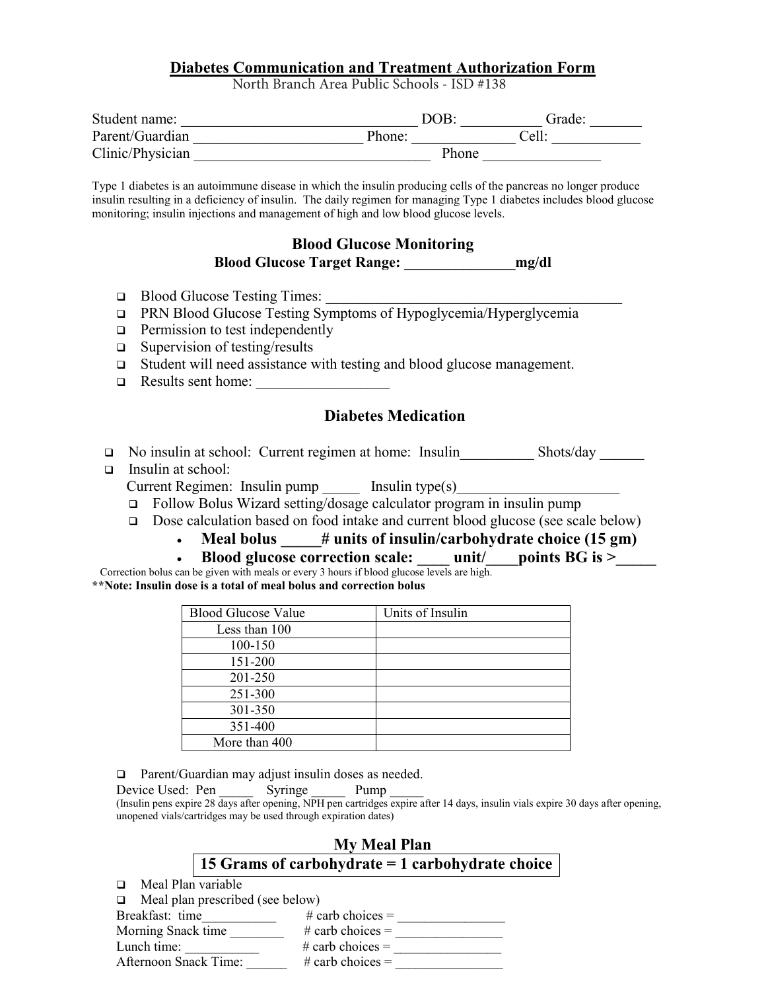### **Diabetes Communication and Treatment Authorization Form**

North Branch Area Public Schools - ISD #138

| Student name:    | DOB.   | Grade: |
|------------------|--------|--------|
| Parent/Guardian  | Phone: | Cell:  |
| Clinic/Physician | Phone  |        |

Type 1 diabetes is an autoimmune disease in which the insulin producing cells of the pancreas no longer produce insulin resulting in a deficiency of insulin. The daily regimen for managing Type 1 diabetes includes blood glucose monitoring; insulin injections and management of high and low blood glucose levels.

# **Blood Glucose Monitoring**

**Blood Glucose Target Range: \_\_\_\_\_\_\_\_\_\_\_\_\_\_\_mg/dl**

- $\Box$  Blood Glucose Testing Times:
- PRN Blood Glucose Testing Symptoms of Hypoglycemia/Hyperglycemia
- $\Box$  Permission to test independently
- $\Box$  Supervision of testing/results
- Student will need assistance with testing and blood glucose management.
- $\Box$  Results sent home:

## **Diabetes Medication**

- □ No insulin at school: Current regimen at home: Insulin Shots/day Shots/day
- Insulin at school:

 $Current Regionen: Insulin pump$  Insulin type(s)

- Follow Bolus Wizard setting/dosage calculator program in insulin pump
- □ Dose calculation based on food intake and current blood glucose (see scale below)
	- Meal bolus # units of insulin/carbohydrate choice (15 gm)
	- **Blood glucose correction scale:**  $\qquad$  unit/  $\qquad$  points BG is >

 Correction bolus can be given with meals or every 3 hours if blood glucose levels are high. **\*\*Note: Insulin dose is a total of meal bolus and correction bolus**

| <b>Blood Glucose Value</b> | Units of Insulin |
|----------------------------|------------------|
| Less than 100              |                  |
| 100-150                    |                  |
| 151-200                    |                  |
| 201-250                    |                  |
| 251-300                    |                  |
| 301-350                    |                  |
| 351-400                    |                  |
| More than 400              |                  |

□ Parent/Guardian may adjust insulin doses as needed.

Device Used: Pen Syringe Pump (Insulin pens expire 28 days after opening, NPH pen cartridges expire after 14 days, insulin vials expire 30 days after opening, unopened vials/cartridges may be used through expiration dates)

# **My Meal Plan 15 Grams of carbohydrate = 1 carbohydrate choice**

- $\Box$  Meal Plan variable
- $\Box$  Meal plan prescribed (see below)

| Breakfast: time       | # carb choices $=$ |  |
|-----------------------|--------------------|--|
| Morning Snack time    | # carb choices $=$ |  |
| Lunch time:           | # carb choices $=$ |  |
| Afternoon Snack Time: | # carb choices $=$ |  |